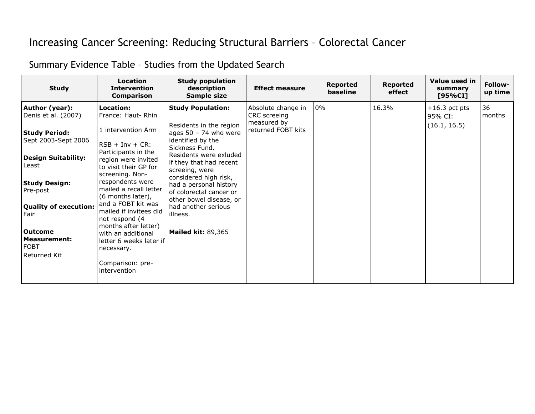## Increasing Cancer Screening: Reducing Structural Barriers – Colorectal Cancer

## Summary Evidence Table – Studies from the Updated Search

| <b>Study</b>                                                                       | <b>Location</b><br><b>Intervention</b><br><b>Comparison</b>                                                                                          | <b>Study population</b><br>description<br>Sample size                                                                                                                 | <b>Effect measure</b>              | Reported<br>baseline | <b>Reported</b><br>effect | Value used in<br>summary<br>[95%CI] | <b>Follow-</b><br>up time |
|------------------------------------------------------------------------------------|------------------------------------------------------------------------------------------------------------------------------------------------------|-----------------------------------------------------------------------------------------------------------------------------------------------------------------------|------------------------------------|----------------------|---------------------------|-------------------------------------|---------------------------|
| Author (year):<br>Denis et al. (2007)                                              | Location:<br>France: Haut-Rhin                                                                                                                       | <b>Study Population:</b>                                                                                                                                              | Absolute change in<br>CRC screeing | 0%                   | 16.3%                     | $+16.3$ pct pts<br>95% CI:          | 36<br>months              |
| <b>Study Period:</b><br>Sept 2003-Sept 2006<br><b>Design Suitability:</b><br>Least | 1 intervention Arm<br>$RSB + Inv + CR$ :<br>Participants in the<br>region were invited<br>to visit their GP for                                      | Residents in the region<br>ages $50 - 74$ who were<br>identified by the<br>Sickness Fund.<br>Residents were exluded<br>if they that had recent<br>screeing, were      | measured by<br>returned FOBT kits  |                      |                           | (16.1, 16.5)                        |                           |
| <b>Study Design:</b><br>Pre-post<br><b>Quality of execution:</b><br>Fair           | screening. Non-<br>respondents were<br>mailed a recall letter<br>(6 months later),<br>and a FOBT kit was<br>mailed if invitees did<br>not respond (4 | considered high risk,<br>had a personal history<br>of colorectal cancer or<br>other bowel disease, or<br>had another serious<br>illness.<br><b>Mailed kit: 89,365</b> |                                    |                      |                           |                                     |                           |
| l Outcome<br>Measurement:<br><b>FOBT</b><br>Returned Kit                           | months after letter)<br>with an additional<br>letter 6 weeks later if<br>necessary.<br>Comparison: pre-<br>intervention                              |                                                                                                                                                                       |                                    |                      |                           |                                     |                           |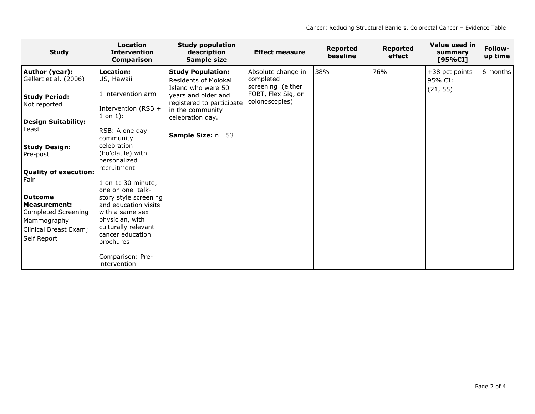| <b>Study</b>                         | <b>Location</b><br><b>Intervention</b><br><b>Comparison</b> | <b>Study population</b><br>description<br>Sample size                  | <b>Effect measure</b>                | <b>Reported</b><br>baseline | <b>Reported</b><br>effect | Value used in<br>summary<br>[95%CI] | Follow-<br>up time |
|--------------------------------------|-------------------------------------------------------------|------------------------------------------------------------------------|--------------------------------------|-----------------------------|---------------------------|-------------------------------------|--------------------|
| Author (year):                       | Location:                                                   | <b>Study Population:</b>                                               | Absolute change in                   | 38%                         | 76%                       | +38 pct points                      | 6 months           |
| Gellert et al. (2006)                | US, Hawaii                                                  | Residents of Molokai                                                   | completed<br>screening (either       |                             |                           | 95% CI:                             |                    |
| <b>Study Period:</b>                 | 1 intervention arm                                          | Island who were 50<br>years and older and<br>registered to participate | FOBT, Flex Sig, or<br>colonoscopies) |                             |                           | (21, 55)                            |                    |
| Not reported                         | Intervention (RSB +                                         | in the community                                                       |                                      |                             |                           |                                     |                    |
| <b>Design Suitability:</b>           | $1$ on $1$ ):                                               | celebration day.                                                       |                                      |                             |                           |                                     |                    |
| Least                                | RSB: A one day<br>community                                 | <b>Sample Size: n= 53</b>                                              |                                      |                             |                           |                                     |                    |
| <b>Study Design:</b>                 | celebration                                                 |                                                                        |                                      |                             |                           |                                     |                    |
| Pre-post                             | (ho'olaule) with<br>personalized                            |                                                                        |                                      |                             |                           |                                     |                    |
| <b>Quality of execution:</b>         | recruitment                                                 |                                                                        |                                      |                             |                           |                                     |                    |
| Fair                                 | 1 on 1: 30 minute,<br>one on one talk-                      |                                                                        |                                      |                             |                           |                                     |                    |
| l Outcome                            | story style screening                                       |                                                                        |                                      |                             |                           |                                     |                    |
| Measurement:                         | and education visits                                        |                                                                        |                                      |                             |                           |                                     |                    |
| Completed Screening                  | with a same sex<br>physician, with                          |                                                                        |                                      |                             |                           |                                     |                    |
| Mammography                          | culturally relevant                                         |                                                                        |                                      |                             |                           |                                     |                    |
| Clinical Breast Exam;<br>Self Report | cancer education<br>brochures                               |                                                                        |                                      |                             |                           |                                     |                    |
|                                      | Comparison: Pre-<br>intervention                            |                                                                        |                                      |                             |                           |                                     |                    |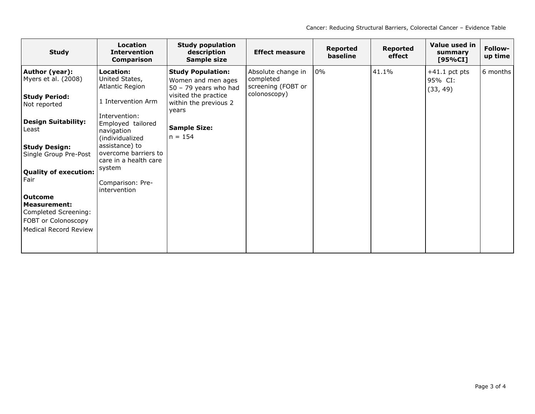| <b>Study</b>                                      | <b>Location</b><br><b>Intervention</b><br>Comparison                | <b>Study population</b><br>description<br>Sample size                     | <b>Effect measure</b>                                 | <b>Reported</b><br>baseline | <b>Reported</b><br>effect | Value used in<br>summary<br>[95%CI]    | Follow-<br>up time |
|---------------------------------------------------|---------------------------------------------------------------------|---------------------------------------------------------------------------|-------------------------------------------------------|-----------------------------|---------------------------|----------------------------------------|--------------------|
| Author (year):<br>Myers et al. (2008)             | Location:<br>United States,<br>Atlantic Region                      | <b>Study Population:</b><br>Women and men ages<br>$50 - 79$ years who had | Absolute change in<br>completed<br>screening (FOBT or | $0\%$                       | 41.1%                     | $+41.1$ pct pts<br>95% CI:<br>(33, 49) | 6 months           |
| <b>Study Period:</b><br>Not reported              | 1 Intervention Arm                                                  | visited the practice<br>within the previous 2<br>years                    | colonoscopy)                                          |                             |                           |                                        |                    |
| <b>Design Suitability:</b><br>Least               | Intervention:<br>Employed tailored<br>navigation<br>(individualized | <b>Sample Size:</b><br>$n = 154$                                          |                                                       |                             |                           |                                        |                    |
| <b>Study Design:</b><br>Single Group Pre-Post     | assistance) to<br>overcome barriers to<br>care in a health care     |                                                                           |                                                       |                             |                           |                                        |                    |
| <b>Quality of execution:</b><br>Fair              | system<br>Comparison: Pre-<br>intervention                          |                                                                           |                                                       |                             |                           |                                        |                    |
| l Outcome<br>Measurement:<br>Completed Screening: |                                                                     |                                                                           |                                                       |                             |                           |                                        |                    |
| FOBT or Colonoscopy<br>Medical Record Review      |                                                                     |                                                                           |                                                       |                             |                           |                                        |                    |
|                                                   |                                                                     |                                                                           |                                                       |                             |                           |                                        |                    |